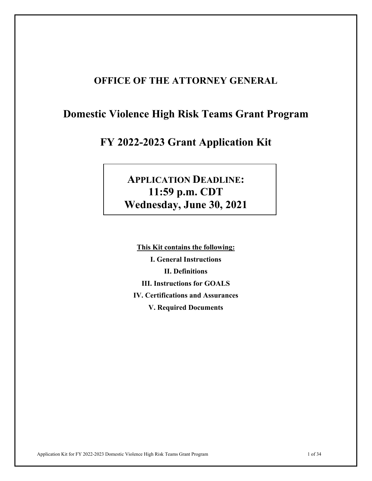## **OFFICE OF THE ATTORNEY GENERAL**

# **Domestic Violence High Risk Teams Grant Program**

# **FY 2022-2023 Grant Application Kit**

# **APPLICATION DEADLINE: 11:59 p.m. CDT Wednesday, June 30, 2021**

**This Kit contains the following: I. General Instructions II. Definitions III. Instructions for GOALS IV. Certifications and Assurances V. Required Documents**

Application Kit for FY 2022-2023 Domestic Violence High Risk Teams Grant Program 1 of 34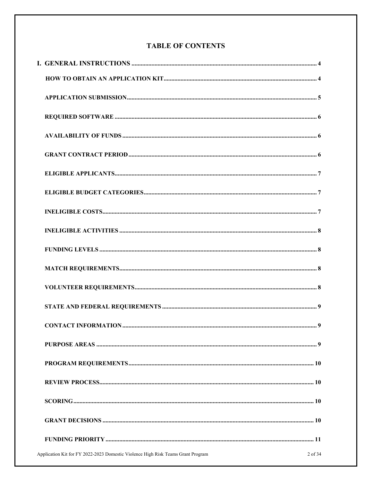## **TABLE OF CONTENTS**

| Application Kit for FY 2022-2023 Domestic Violence High Risk Teams Grant Program | 2 of 34 |
|----------------------------------------------------------------------------------|---------|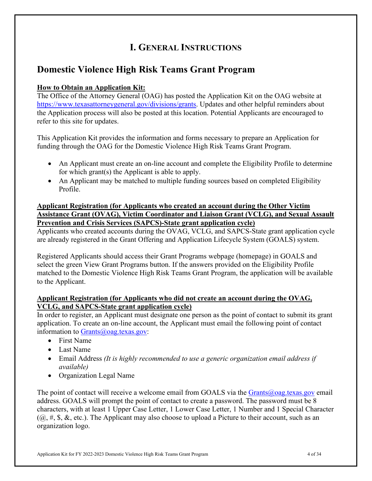# **I. GENERAL INSTRUCTIONS**

## **Domestic Violence High Risk Teams Grant Program**

## **How to Obtain an Application Kit:**

The Office of the Attorney General (OAG) has posted the Application Kit on the OAG website at [https://www.texasattorneygeneral.gov/divisions/grants.](https://www.texasattorneygeneral.gov/divisions/grants) Updates and other helpful reminders about the Application process will also be posted at this location. Potential Applicants are encouraged to refer to this site for updates.

This Application Kit provides the information and forms necessary to prepare an Application for funding through the OAG for the Domestic Violence High Risk Teams Grant Program.

- An Applicant must create an on-line account and complete the Eligibility Profile to determine for which grant(s) the Applicant is able to apply.
- An Applicant may be matched to multiple funding sources based on completed Eligibility Profile.

## **Applicant Registration (for Applicants who created an account during the Other Victim Assistance Grant (OVAG), Victim Coordinator and Liaison Grant (VCLG), and Sexual Assault Prevention and Crisis Services (SAPCS)-State grant application cycle)**

Applicants who created accounts during the OVAG, VCLG, and SAPCS-State grant application cycle are already registered in the Grant Offering and Application Lifecycle System (GOALS) system.

Registered Applicants should access their Grant Programs webpage (homepage) in GOALS and select the green View Grant Programs button. If the answers provided on the Eligibility Profile matched to the Domestic Violence High Risk Teams Grant Program, the application will be available to the Applicant.

## **Applicant Registration (for Applicants who did not create an account during the OVAG, VCLG, and SAPCS-State grant application cycle)**

In order to register, an Applicant must designate one person as the point of contact to submit its grant application. To create an on-line account, the Applicant must email the following point of contact information to [Grants@oag.texas.gov:](mailto:Grants@oag.texas.gov)

- First Name
- Last Name
- Email Address *(It is highly recommended to use a generic organization email address if available)*
- Organization Legal Name

The point of contact will receive a welcome email from GOALS via the  $Grants@oag.text.gov email$ address. GOALS will prompt the point of contact to create a password. The password must be 8 characters, with at least 1 Upper Case Letter, 1 Lower Case Letter, 1 Number and 1 Special Character  $(Q, \#, \S, \&$ , etc.). The Applicant may also choose to upload a Picture to their account, such as an organization logo.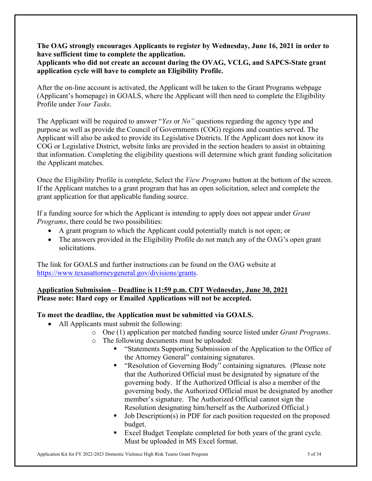**The OAG strongly encourages Applicants to register by Wednesday, June 16, 2021 in order to have sufficient time to complete the application.** 

## **Applicants who did not create an account during the OVAG, VCLG, and SAPCS-State grant application cycle will have to complete an Eligibility Profile.**

After the on-line account is activated, the Applicant will be taken to the Grant Programs webpage (Applicant's homepage) in GOALS, where the Applicant will then need to complete the Eligibility Profile under *Your Tasks*.

The Applicant will be required to answer "*Yes* or *No"* questions regarding the agency type and purpose as well as provide the Council of Governments (COG) regions and counties served. The Applicant will also be asked to provide its Legislative Districts. If the Applicant does not know its COG or Legislative District, website links are provided in the section headers to assist in obtaining that information. Completing the eligibility questions will determine which grant funding solicitation the Applicant matches.

Once the Eligibility Profile is complete, Select the *View Programs* button at the bottom of the screen. If the Applicant matches to a grant program that has an open solicitation, select and complete the grant application for that applicable funding source.

If a funding source for which the Applicant is intending to apply does not appear under *Grant Programs*, there could be two possibilities:

- A grant program to which the Applicant could potentially match is not open; or
- The answers provided in the Eligibility Profile do not match any of the OAG's open grant solicitations.

The link for GOALS and further instructions can be found on the OAG website at [https://www.texasattorneygeneral.gov/divisions/grants.](https://www.texasattorneygeneral.gov/divisions/grants)

## **Application Submission – Deadline is 11:59 p.m. CDT Wednesday, June 30, 2021 Please note: Hard copy or Emailed Applications will not be accepted.**

## **To meet the deadline, the Application must be submitted via GOALS.**

- All Applicants must submit the following:
	- o One (1) application per matched funding source listed under *Grant Programs*.
	- o The following documents must be uploaded:
		- "Statements Supporting Submission of the Application to the Office of the Attorney General" containing signatures.
		- **•** "Resolution of Governing Body" containing signatures. (Please note that the Authorized Official must be designated by signature of the governing body. If the Authorized Official is also a member of the governing body, the Authorized Official must be designated by another member's signature. The Authorized Official cannot sign the Resolution designating him/herself as the Authorized Official.)
		- Job Description(s) in PDF for each position requested on the proposed budget.
		- Excel Budget Template completed for both years of the grant cycle. Must be uploaded in MS Excel format.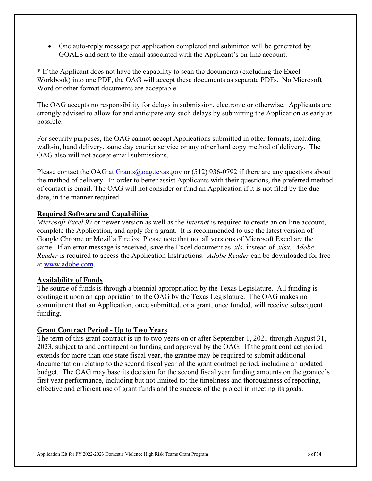• One auto-reply message per application completed and submitted will be generated by GOALS and sent to the email associated with the Applicant's on-line account.

\* If the Applicant does not have the capability to scan the documents (excluding the Excel Workbook) into one PDF, the OAG will accept these documents as separate PDFs. No Microsoft Word or other format documents are acceptable.

The OAG accepts no responsibility for delays in submission, electronic or otherwise. Applicants are strongly advised to allow for and anticipate any such delays by submitting the Application as early as possible.

For security purposes, the OAG cannot accept Applications submitted in other formats, including walk-in, hand delivery, same day courier service or any other hard copy method of delivery. The OAG also will not accept email submissions.

Please contact the OAG at  $Grants(\omega)$  oag.texas.gov or (512) 936-0792 if there are any questions about the method of delivery. In order to better assist Applicants with their questions, the preferred method of contact is email. The OAG will not consider or fund an Application if it is not filed by the due date, in the manner required

## **Required Software and Capabilities**

*Microsoft Excel 97* or newer version as well as the *Internet* is required to create an on-line account, complete the Application, and apply for a grant. It is recommended to use the latest version of Google Chrome or Mozilla Firefox. Please note that not all versions of Microsoft Excel are the same. If an error message is received, save the Excel document as *.xls*, instead of .*xlsx. Adobe Reader* is required to access the Application Instructions. *Adobe Reader* can be downloaded for free at [www.adobe.com.](http://www.adobe.com/)

#### **Availability of Funds**

The source of funds is through a biennial appropriation by the Texas Legislature. All funding is contingent upon an appropriation to the OAG by the Texas Legislature. The OAG makes no commitment that an Application, once submitted, or a grant, once funded, will receive subsequent funding.

## **Grant Contract Period - Up to Two Years**

The term of this grant contract is up to two years on or after September 1, 2021 through August 31, 2023, subject to and contingent on funding and approval by the OAG. If the grant contract period extends for more than one state fiscal year, the grantee may be required to submit additional documentation relating to the second fiscal year of the grant contract period, including an updated budget. The OAG may base its decision for the second fiscal year funding amounts on the grantee's first year performance, including but not limited to: the timeliness and thoroughness of reporting, effective and efficient use of grant funds and the success of the project in meeting its goals.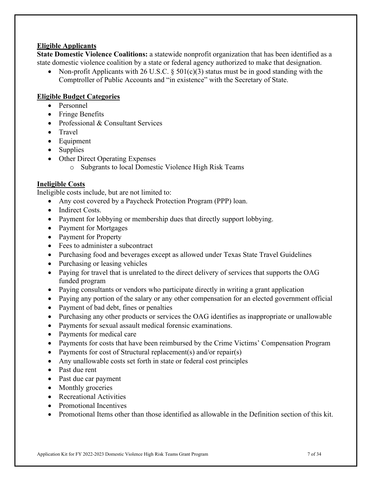## **Eligible Applicants**

**State Domestic Violence Coalitions:** a statewide nonprofit organization that has been identified as a state domestic violence coalition by a state or federal agency authorized to make that designation.

• Non-profit Applicants with 26 U.S.C.  $\S 501(c)(3)$  status must be in good standing with the Comptroller of Public Accounts and "in existence" with the Secretary of State.

## **Eligible Budget Categories**

- Personnel
- Fringe Benefits
- Professional & Consultant Services
- Travel
- Equipment
- Supplies
- Other Direct Operating Expenses
	- o Subgrants to local Domestic Violence High Risk Teams

## **Ineligible Costs**

Ineligible costs include, but are not limited to:

- Any cost covered by a Paycheck Protection Program (PPP) loan.
- Indirect Costs.
- Payment for lobbying or membership dues that directly support lobbying.
- Payment for Mortgages
- Payment for Property
- Fees to administer a subcontract
- Purchasing food and beverages except as allowed under Texas State Travel Guidelines
- Purchasing or leasing vehicles
- Paying for travel that is unrelated to the direct delivery of services that supports the OAG funded program
- Paying consultants or vendors who participate directly in writing a grant application
- Paying any portion of the salary or any other compensation for an elected government official
- Payment of bad debt, fines or penalties
- Purchasing any other products or services the OAG identifies as inappropriate or unallowable
- Payments for sexual assault medical forensic examinations.
- Payments for medical care
- Payments for costs that have been reimbursed by the Crime Victims' Compensation Program
- Payments for cost of Structural replacement(s) and/or repair(s)
- Any unallowable costs set forth in state or federal cost principles
- Past due rent
- Past due car payment
- Monthly groceries
- Recreational Activities
- Promotional Incentives
- Promotional Items other than those identified as allowable in the Definition section of this kit.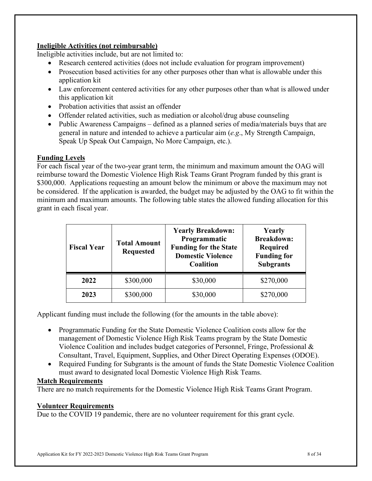## **Ineligible Activities (not reimbursable)**

Ineligible activities include, but are not limited to:

- Research centered activities (does not include evaluation for program improvement)
- Prosecution based activities for any other purposes other than what is allowable under this application kit
- Law enforcement centered activities for any other purposes other than what is allowed under this application kit
- Probation activities that assist an offender
- Offender related activities, such as mediation or alcohol/drug abuse counseling
- Public Awareness Campaigns defined as a planned series of media/materials buys that are general in nature and intended to achieve a particular aim (*e.g*., My Strength Campaign, Speak Up Speak Out Campaign, No More Campaign, etc.).

## **Funding Levels**

For each fiscal year of the two-year grant term, the minimum and maximum amount the OAG will reimburse toward the Domestic Violence High Risk Teams Grant Program funded by this grant is \$300,000. Applications requesting an amount below the minimum or above the maximum may not be considered. If the application is awarded, the budget may be adjusted by the OAG to fit within the minimum and maximum amounts. The following table states the allowed funding allocation for this grant in each fiscal year.

| <b>Fiscal Year</b> | <b>Total Amount</b><br><b>Requested</b> | <b>Yearly Breakdown:</b><br>Programmatic<br><b>Funding for the State</b><br><b>Domestic Violence</b><br><b>Coalition</b> | Yearly<br><b>Breakdown:</b><br>Required<br><b>Funding for</b><br><b>Subgrants</b> |
|--------------------|-----------------------------------------|--------------------------------------------------------------------------------------------------------------------------|-----------------------------------------------------------------------------------|
| 2022               | \$300,000                               | \$30,000                                                                                                                 | \$270,000                                                                         |
| 2023               | \$300,000                               | \$30,000                                                                                                                 | \$270,000                                                                         |

Applicant funding must include the following (for the amounts in the table above):

- Programmatic Funding for the State Domestic Violence Coalition costs allow for the management of Domestic Violence High Risk Teams program by the State Domestic Violence Coalition and includes budget categories of Personnel, Fringe, Professional & Consultant, Travel, Equipment, Supplies, and Other Direct Operating Expenses (ODOE).
- Required Funding for Subgrants is the amount of funds the State Domestic Violence Coalition must award to designated local Domestic Violence High Risk Teams.

## **Match Requirements**

There are no match requirements for the Domestic Violence High Risk Teams Grant Program.

## **Volunteer Requirements**

Due to the COVID 19 pandemic, there are no volunteer requirement for this grant cycle.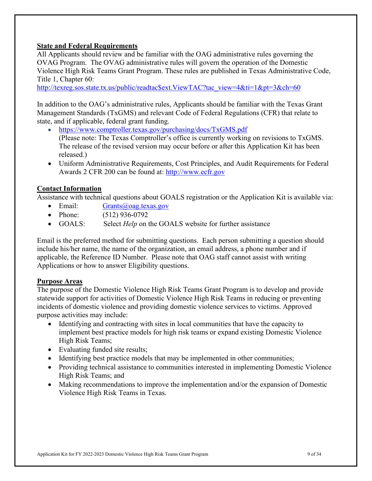## **State and Federal Requirements**

All Applicants should review and be familiar with the OAG administrative rules governing the OVAG Program. The OVAG administrative rules will govern the operation of the Domestic Violence High Risk Teams Grant Program. These rules are published in Texas Administrative Code, Title 1, Chapter 60:

[http://texreg.sos.state.tx.us/public/readtac\\$ext.ViewTAC?tac\\_view=4&ti=1&pt=3&ch=60](http://texreg.sos.state.tx.us/public/readtac$ext.ViewTAC?tac_view=4&ti=1&pt=3&ch=60)

In addition to the OAG's administrative rules, Applicants should be familiar with the Texas Grant Management Standards (TxGMS) and relevant Code of Federal Regulations (CFR) that relate to state, and if applicable, federal grant funding.

- [https://www.comptroller.texas.gov/purchasing/docs/TxGMS.pdf](https://www.comptroller.texas.gov/purchasing/docs/ugms.pdf) (Please note: The Texas Comptroller's office is currently working on revisions to TxGMS. The release of the revised version may occur before or after this Application Kit has been released.)
- Uniform Administrative Requirements, Cost Principles, and Audit Requirements for Federal Awards 2 CFR 200 can be found at: [http://www.ecfr.gov](http://www.ecfr.gov/)

## **Contact Information**

Assistance with technical questions about GOALS registration or the Application Kit is available via:

- Email: [Grants@oag.texas.gov](mailto:Grants@oag.texas.gov)
- Phone: (512) 936-0792
- GOALS: Select *Help* on the GOALS website for further assistance

Email is the preferred method for submitting questions. Each person submitting a question should include his/her name, the name of the organization, an email address, a phone number and if applicable, the Reference ID Number. Please note that OAG staff cannot assist with writing Applications or how to answer Eligibility questions.

## **Purpose Areas**

The purpose of the Domestic Violence High Risk Teams Grant Program is to develop and provide statewide support for activities of Domestic Violence High Risk Teams in reducing or preventing incidents of domestic violence and providing domestic violence services to victims. Approved purpose activities may include:

- Identifying and contracting with sites in local communities that have the capacity to implement best practice models for high risk teams or expand existing Domestic Violence High Risk Teams;
- Evaluating funded site results;
- Identifying best practice models that may be implemented in other communities;
- Providing technical assistance to communities interested in implementing Domestic Violence High Risk Teams; and
- Making recommendations to improve the implementation and/or the expansion of Domestic Violence High Risk Teams in Texas.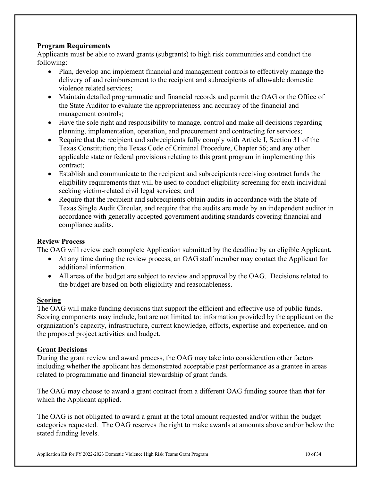## **Program Requirements**

Applicants must be able to award grants (subgrants) to high risk communities and conduct the following:

- Plan, develop and implement financial and management controls to effectively manage the delivery of and reimbursement to the recipient and subrecipients of allowable domestic violence related services;
- Maintain detailed programmatic and financial records and permit the OAG or the Office of the State Auditor to evaluate the appropriateness and accuracy of the financial and management controls;
- Have the sole right and responsibility to manage, control and make all decisions regarding planning, implementation, operation, and procurement and contracting for services;
- Require that the recipient and subrecipients fully comply with Article I, Section 31 of the Texas Constitution; the Texas Code of Criminal Procedure, Chapter 56; and any other applicable state or federal provisions relating to this grant program in implementing this contract;
- Establish and communicate to the recipient and subrecipients receiving contract funds the eligibility requirements that will be used to conduct eligibility screening for each individual seeking victim-related civil legal services; and
- Require that the recipient and subrecipients obtain audits in accordance with the State of Texas Single Audit Circular, and require that the audits are made by an independent auditor in accordance with generally accepted government auditing standards covering financial and compliance audits.

## **Review Process**

The OAG will review each complete Application submitted by the deadline by an eligible Applicant.

- At any time during the review process, an OAG staff member may contact the Applicant for additional information.
- All areas of the budget are subject to review and approval by the OAG. Decisions related to the budget are based on both eligibility and reasonableness.

## **Scoring**

The OAG will make funding decisions that support the efficient and effective use of public funds. Scoring components may include, but are not limited to: information provided by the applicant on the organization's capacity, infrastructure, current knowledge, efforts, expertise and experience, and on the proposed project activities and budget.

## **Grant Decisions**

During the grant review and award process, the OAG may take into consideration other factors including whether the applicant has demonstrated acceptable past performance as a grantee in areas related to programmatic and financial stewardship of grant funds.

The OAG may choose to award a grant contract from a different OAG funding source than that for which the Applicant applied.

The OAG is not obligated to award a grant at the total amount requested and/or within the budget categories requested. The OAG reserves the right to make awards at amounts above and/or below the stated funding levels.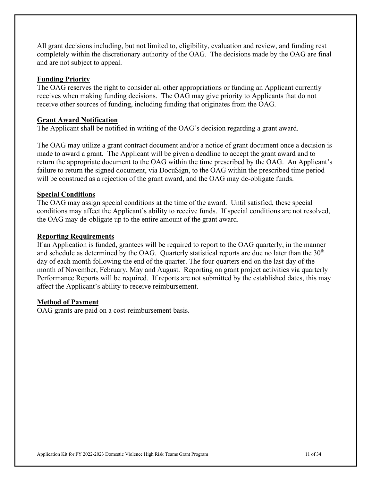All grant decisions including, but not limited to, eligibility, evaluation and review, and funding rest completely within the discretionary authority of the OAG. The decisions made by the OAG are final and are not subject to appeal.

#### **Funding Priority**

The OAG reserves the right to consider all other appropriations or funding an Applicant currently receives when making funding decisions. The OAG may give priority to Applicants that do not receive other sources of funding, including funding that originates from the OAG.

#### **Grant Award Notification**

The Applicant shall be notified in writing of the OAG's decision regarding a grant award.

The OAG may utilize a grant contract document and/or a notice of grant document once a decision is made to award a grant. The Applicant will be given a deadline to accept the grant award and to return the appropriate document to the OAG within the time prescribed by the OAG. An Applicant's failure to return the signed document, via DocuSign, to the OAG within the prescribed time period will be construed as a rejection of the grant award, and the OAG may de-obligate funds.

#### **Special Conditions**

The OAG may assign special conditions at the time of the award. Until satisfied, these special conditions may affect the Applicant's ability to receive funds. If special conditions are not resolved, the OAG may de-obligate up to the entire amount of the grant award.

#### **Reporting Requirements**

If an Application is funded, grantees will be required to report to the OAG quarterly, in the manner and schedule as determined by the OAG. Quarterly statistical reports are due no later than the  $30<sup>th</sup>$ day of each month following the end of the quarter. The four quarters end on the last day of the month of November, February, May and August. Reporting on grant project activities via quarterly Performance Reports will be required. If reports are not submitted by the established dates, this may affect the Applicant's ability to receive reimbursement.

#### **Method of Payment**

OAG grants are paid on a cost-reimbursement basis.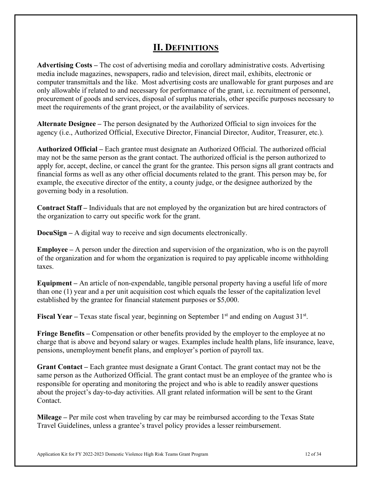## **II. DEFINITIONS**

**Advertising Costs –** The cost of advertising media and corollary administrative costs. Advertising media include magazines, newspapers, radio and television, direct mail, exhibits, electronic or computer transmittals and the like. Most advertising costs are unallowable for grant purposes and are only allowable if related to and necessary for performance of the grant, i.e. recruitment of personnel, procurement of goods and services, disposal of surplus materials, other specific purposes necessary to meet the requirements of the grant project, or the availability of services.

**Alternate Designee –** The person designated by the Authorized Official to sign invoices for the agency (i.e., Authorized Official, Executive Director, Financial Director, Auditor, Treasurer, etc.).

**Authorized Official –** Each grantee must designate an Authorized Official. The authorized official may not be the same person as the grant contact. The authorized official is the person authorized to apply for, accept, decline, or cancel the grant for the grantee. This person signs all grant contracts and financial forms as well as any other official documents related to the grant. This person may be, for example, the executive director of the entity, a county judge, or the designee authorized by the governing body in a resolution.

**Contract Staff –** Individuals that are not employed by the organization but are hired contractors of the organization to carry out specific work for the grant.

**DocuSign –** A digital way to receive and sign documents electronically.

**Employee –** A person under the direction and supervision of the organization, who is on the payroll of the organization and for whom the organization is required to pay applicable income withholding taxes.

**Equipment –** An article of non-expendable, tangible personal property having a useful life of more than one (1) year and a per unit acquisition cost which equals the lesser of the capitalization level established by the grantee for financial statement purposes or \$5,000.

**Fiscal Year** – Texas state fiscal year, beginning on September 1<sup>st</sup> and ending on August 31<sup>st</sup>.

**Fringe Benefits –** Compensation or other benefits provided by the employer to the employee at no charge that is above and beyond salary or wages. Examples include health plans, life insurance, leave, pensions, unemployment benefit plans, and employer's portion of payroll tax.

**Grant Contact –** Each grantee must designate a Grant Contact. The grant contact may not be the same person as the Authorized Official. The grant contact must be an employee of the grantee who is responsible for operating and monitoring the project and who is able to readily answer questions about the project's day-to-day activities. All grant related information will be sent to the Grant Contact.

**Mileage –** Per mile cost when traveling by car may be reimbursed according to the Texas State Travel Guidelines, unless a grantee's travel policy provides a lesser reimbursement.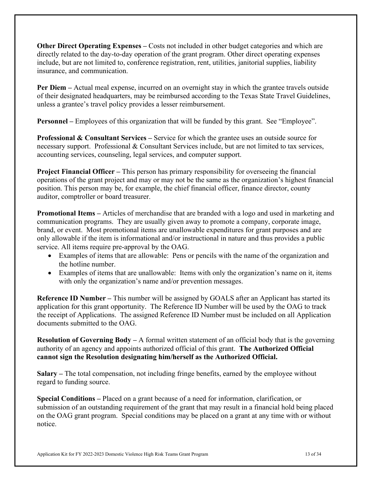**Other Direct Operating Expenses –** Costs not included in other budget categories and which are directly related to the day-to-day operation of the grant program. Other direct operating expenses include, but are not limited to, conference registration, rent, utilities, janitorial supplies, liability insurance, and communication.

**Per Diem** – Actual meal expense, incurred on an overnight stay in which the grantee travels outside of their designated headquarters, may be reimbursed according to the Texas State Travel Guidelines, unless a grantee's travel policy provides a lesser reimbursement.

**Personnel** – Employees of this organization that will be funded by this grant. See "Employee".

**Professional & Consultant Services –** Service for which the grantee uses an outside source for necessary support. Professional & Consultant Services include, but are not limited to tax services, accounting services, counseling, legal services, and computer support.

**Project Financial Officer –** This person has primary responsibility for overseeing the financial operations of the grant project and may or may not be the same as the organization's highest financial position. This person may be, for example, the chief financial officer, finance director, county auditor, comptroller or board treasurer.

**Promotional Items –** Articles of merchandise that are branded with a logo and used in marketing and communication programs. They are usually given away to promote a company, corporate image, brand, or event. Most promotional items are unallowable expenditures for grant purposes and are only allowable if the item is informational and/or instructional in nature and thus provides a public service. All items require pre-approval by the OAG.

- Examples of items that are allowable: Pens or pencils with the name of the organization and the hotline number.
- Examples of items that are unallowable: Items with only the organization's name on it, items with only the organization's name and/or prevention messages.

**Reference ID Number –** This number will be assigned by GOALS after an Applicant has started its application for this grant opportunity. The Reference ID Number will be used by the OAG to track the receipt of Applications. The assigned Reference ID Number must be included on all Application documents submitted to the OAG.

**Resolution of Governing Body –** A formal written statement of an official body that is the governing authority of an agency and appoints authorized official of this grant. **The Authorized Official cannot sign the Resolution designating him/herself as the Authorized Official.**

**Salary –** The total compensation, not including fringe benefits, earned by the employee without regard to funding source.

**Special Conditions –** Placed on a grant because of a need for information, clarification, or submission of an outstanding requirement of the grant that may result in a financial hold being placed on the OAG grant program. Special conditions may be placed on a grant at any time with or without notice.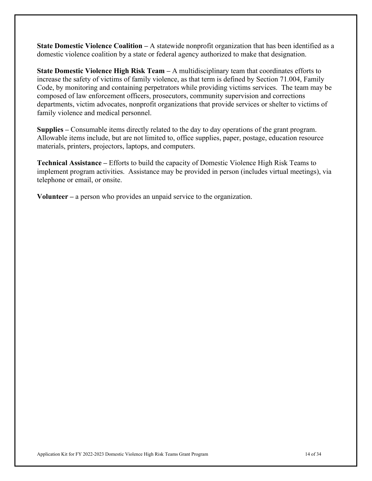**State Domestic Violence Coalition –** A statewide nonprofit organization that has been identified as a domestic violence coalition by a state or federal agency authorized to make that designation.

**State Domestic Violence High Risk Team –** A multidisciplinary team that coordinates efforts to increase the safety of victims of family violence, as that term is defined by Section 71.004, Family Code, by monitoring and containing perpetrators while providing victims services. The team may be composed of law enforcement officers, prosecutors, community supervision and corrections departments, victim advocates, nonprofit organizations that provide services or shelter to victims of family violence and medical personnel.

**Supplies –** Consumable items directly related to the day to day operations of the grant program. Allowable items include, but are not limited to, office supplies, paper, postage, education resource materials, printers, projectors, laptops, and computers.

**Technical Assistance –** Efforts to build the capacity of Domestic Violence High Risk Teams to implement program activities. Assistance may be provided in person (includes virtual meetings), via telephone or email, or onsite.

**Volunteer –** a person who provides an unpaid service to the organization.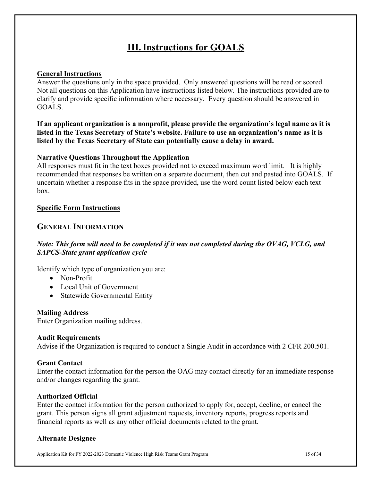# **III.Instructions for GOALS**

## **General Instructions**

Answer the questions only in the space provided. Only answered questions will be read or scored. Not all questions on this Application have instructions listed below. The instructions provided are to clarify and provide specific information where necessary. Every question should be answered in GOALS.

**If an applicant organization is a nonprofit, please provide the organization's legal name as it is listed in the Texas Secretary of State's website. Failure to use an organization's name as it is listed by the Texas Secretary of State can potentially cause a delay in award.**

#### **Narrative Questions Throughout the Application**

All responses must fit in the text boxes provided not to exceed maximum word limit. It is highly recommended that responses be written on a separate document, then cut and pasted into GOALS. If uncertain whether a response fits in the space provided, use the word count listed below each text box.

#### **Specific Form Instructions**

## **GENERAL INFORMATION**

## *Note: This form will need to be completed if it was not completed during the OVAG, VCLG, and SAPCS-State grant application cycle*

Identify which type of organization you are:

- Non-Profit
- Local Unit of Government
- Statewide Governmental Entity

#### **Mailing Address**

Enter Organization mailing address.

#### **Audit Requirements**

Advise if the Organization is required to conduct a Single Audit in accordance with 2 CFR 200.501.

#### **Grant Contact**

Enter the contact information for the person the OAG may contact directly for an immediate response and/or changes regarding the grant.

#### **Authorized Official**

Enter the contact information for the person authorized to apply for, accept, decline, or cancel the grant. This person signs all grant adjustment requests, inventory reports, progress reports and financial reports as well as any other official documents related to the grant.

#### **Alternate Designee**

Application Kit for FY 2022-2023 Domestic Violence High Risk Teams Grant Program 15 of 34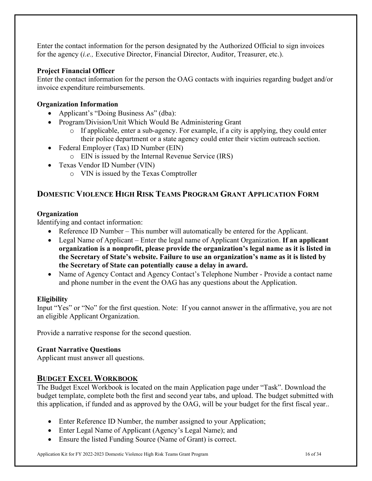Enter the contact information for the person designated by the Authorized Official to sign invoices for the agency (*i.e.,* Executive Director, Financial Director, Auditor, Treasurer, etc.).

## **Project Financial Officer**

Enter the contact information for the person the OAG contacts with inquiries regarding budget and/or invoice expenditure reimbursements.

## **Organization Information**

- Applicant's "Doing Business As" (dba):
- Program/Division/Unit Which Would Be Administering Grant
	- o If applicable, enter a sub-agency. For example, if a city is applying, they could enter their police department or a state agency could enter their victim outreach section.
- Federal Employer (Tax) ID Number (EIN)
	- o EIN is issued by the Internal Revenue Service (IRS)
- Texas Vendor ID Number (VIN)
	- o VIN is issued by the Texas Comptroller

## **DOMESTIC VIOLENCE HIGH RISK TEAMS PROGRAM GRANT APPLICATION FORM**

## **Organization**

Identifying and contact information:

- Reference ID Number This number will automatically be entered for the Applicant.
- Legal Name of Applicant Enter the legal name of Applicant Organization. **If an applicant organization is a nonprofit, please provide the organization's legal name as it is listed in the Secretary of State's website. Failure to use an organization's name as it is listed by the Secretary of State can potentially cause a delay in award.**
- Name of Agency Contact and Agency Contact's Telephone Number Provide a contact name and phone number in the event the OAG has any questions about the Application.

## **Eligibility**

Input "Yes" or "No" for the first question. Note: If you cannot answer in the affirmative, you are not an eligible Applicant Organization.

Provide a narrative response for the second question.

## **Grant Narrative Questions**

Applicant must answer all questions.

## **BUDGET EXCEL WORKBOOK**

The Budget Excel Workbook is located on the main Application page under "Task". Download the budget template, complete both the first and second year tabs, and upload. The budget submitted with this application, if funded and as approved by the OAG, will be your budget for the first fiscal year..

- Enter Reference ID Number, the number assigned to your Application;
- Enter Legal Name of Applicant (Agency's Legal Name); and
- Ensure the listed Funding Source (Name of Grant) is correct.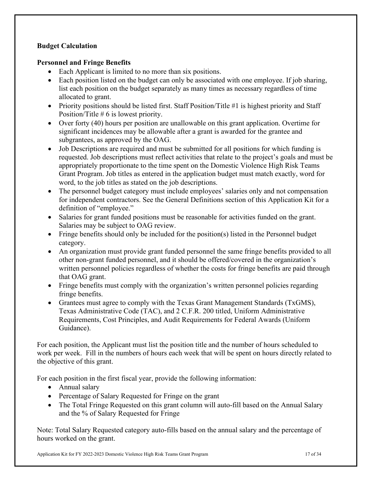## **Budget Calculation**

## **Personnel and Fringe Benefits**

- Each Applicant is limited to no more than six positions.
- Each position listed on the budget can only be associated with one employee. If job sharing, list each position on the budget separately as many times as necessary regardless of time allocated to grant.
- Priority positions should be listed first. Staff Position/Title #1 is highest priority and Staff Position/Title # 6 is lowest priority.
- Over forty (40) hours per position are unallowable on this grant application. Overtime for significant incidences may be allowable after a grant is awarded for the grantee and subgrantees, as approved by the OAG.
- Job Descriptions are required and must be submitted for all positions for which funding is requested. Job descriptions must reflect activities that relate to the project's goals and must be appropriately proportionate to the time spent on the Domestic Violence High Risk Teams Grant Program. Job titles as entered in the application budget must match exactly, word for word, to the job titles as stated on the job descriptions.
- The personnel budget category must include employees' salaries only and not compensation for independent contractors. See the General Definitions section of this Application Kit for a definition of "employee."
- Salaries for grant funded positions must be reasonable for activities funded on the grant. Salaries may be subject to OAG review.
- Fringe benefits should only be included for the position(s) listed in the Personnel budget category.
- An organization must provide grant funded personnel the same fringe benefits provided to all other non-grant funded personnel, and it should be offered/covered in the organization's written personnel policies regardless of whether the costs for fringe benefits are paid through that OAG grant.
- Fringe benefits must comply with the organization's written personnel policies regarding fringe benefits.
- Grantees must agree to comply with the Texas Grant Management Standards (TxGMS), Texas Administrative Code (TAC), and 2 C.F.R. 200 titled, Uniform Administrative Requirements, Cost Principles, and Audit Requirements for Federal Awards (Uniform Guidance).

For each position, the Applicant must list the position title and the number of hours scheduled to work per week. Fill in the numbers of hours each week that will be spent on hours directly related to the objective of this grant.

For each position in the first fiscal year, provide the following information:

- Annual salary
- Percentage of Salary Requested for Fringe on the grant
- The Total Fringe Requested on this grant column will auto-fill based on the Annual Salary and the % of Salary Requested for Fringe

Note: Total Salary Requested category auto-fills based on the annual salary and the percentage of hours worked on the grant.

Application Kit for FY 2022-2023 Domestic Violence High Risk Teams Grant Program 17 of 34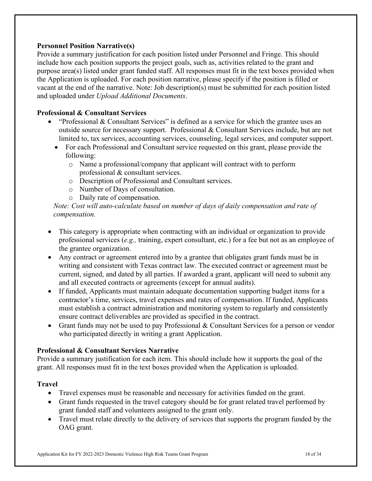## **Personnel Position Narrative(s)**

Provide a summary justification for each position listed under Personnel and Fringe. This should include how each position supports the project goals, such as, activities related to the grant and purpose area(s) listed under grant funded staff. All responses must fit in the text boxes provided when the Application is uploaded. For each position narrative, please specify if the position is filled or vacant at the end of the narrative. Note: Job description(s) must be submitted for each position listed and uploaded under *Upload Additional Documents*.

## **Professional & Consultant Services**

- "Professional & Consultant Services" is defined as a service for which the grantee uses an outside source for necessary support. Professional & Consultant Services include, but are not limited to, tax services, accounting services, counseling, legal services, and computer support.
	- For each Professional and Consultant service requested on this grant, please provide the following:
		- o Name a professional/company that applicant will contract with to perform professional & consultant services.
		- o Description of Professional and Consultant services.
		- o Number of Days of consultation.
		- o Daily rate of compensation.

*Note: Cost will auto-calculate based on number of days of daily compensation and rate of compensation.*

- This category is appropriate when contracting with an individual or organization to provide professional services (*e.g.,* training, expert consultant, etc.) for a fee but not as an employee of the grantee organization.
- Any contract or agreement entered into by a grantee that obligates grant funds must be in writing and consistent with Texas contract law. The executed contract or agreement must be current, signed, and dated by all parties. If awarded a grant, applicant will need to submit any and all executed contracts or agreements (except for annual audits).
- If funded, Applicants must maintain adequate documentation supporting budget items for a contractor's time, services, travel expenses and rates of compensation. If funded, Applicants must establish a contract administration and monitoring system to regularly and consistently ensure contract deliverables are provided as specified in the contract.
- Grant funds may not be used to pay Professional & Consultant Services for a person or vendor who participated directly in writing a grant Application.

## **Professional & Consultant Services Narrative**

Provide a summary justification for each item. This should include how it supports the goal of the grant. All responses must fit in the text boxes provided when the Application is uploaded.

## **Travel**

- Travel expenses must be reasonable and necessary for activities funded on the grant.
- Grant funds requested in the travel category should be for grant related travel performed by grant funded staff and volunteers assigned to the grant only.
- Travel must relate directly to the delivery of services that supports the program funded by the OAG grant.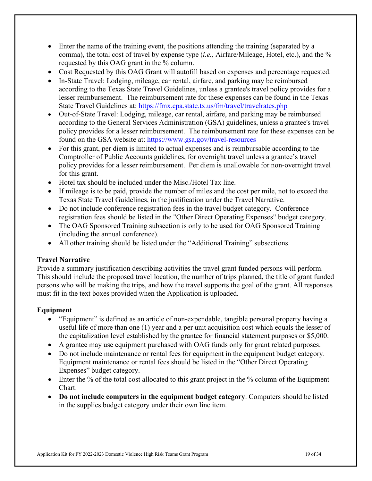- Enter the name of the training event, the positions attending the training (separated by a comma), the total cost of travel by expense type (*i.e.,* Airfare/Mileage, Hotel, etc.), and the % requested by this OAG grant in the % column.
- Cost Requested by this OAG Grant will autofill based on expenses and percentage requested.
- In-State Travel: Lodging, mileage, car rental, airfare, and parking may be reimbursed according to the Texas State Travel Guidelines, unless a grantee's travel policy provides for a lesser reimbursement. The reimbursement rate for these expenses can be found in the Texas State Travel Guidelines at:<https://fmx.cpa.state.tx.us/fm/travel/travelrates.php>
- Out-of-State Travel: Lodging, mileage, car rental, airfare, and parking may be reimbursed according to the General Services Administration (GSA) guidelines, unless a grantee's travel policy provides for a lesser reimbursement. The reimbursement rate for these expenses can be found on the GSA website at: <https://www.gsa.gov/travel-resources>
- For this grant, per diem is limited to actual expenses and is reimbursable according to the Comptroller of Public Accounts guidelines, for overnight travel unless a grantee's travel policy provides for a lesser reimbursement. Per diem is unallowable for non-overnight travel for this grant.
- Hotel tax should be included under the Misc./Hotel Tax line.
- If mileage is to be paid, provide the number of miles and the cost per mile, not to exceed the Texas State Travel Guidelines, in the justification under the Travel Narrative.
- Do not include conference registration fees in the travel budget category. Conference registration fees should be listed in the "Other Direct Operating Expenses" budget category.
- The OAG Sponsored Training subsection is only to be used for OAG Sponsored Training (including the annual conference).
- All other training should be listed under the "Additional Training" subsections.

## **Travel Narrative**

Provide a summary justification describing activities the travel grant funded persons will perform. This should include the proposed travel location, the number of trips planned, the title of grant funded persons who will be making the trips, and how the travel supports the goal of the grant. All responses must fit in the text boxes provided when the Application is uploaded.

## **Equipment**

- "Equipment" is defined as an article of non-expendable, tangible personal property having a useful life of more than one (1) year and a per unit acquisition cost which equals the lesser of the capitalization level established by the grantee for financial statement purposes or \$5,000.
- A grantee may use equipment purchased with OAG funds only for grant related purposes.
- Do not include maintenance or rental fees for equipment in the equipment budget category. Equipment maintenance or rental fees should be listed in the "Other Direct Operating Expenses" budget category.
- Enter the % of the total cost allocated to this grant project in the % column of the Equipment Chart.
- **Do not include computers in the equipment budget category**. Computers should be listed in the supplies budget category under their own line item.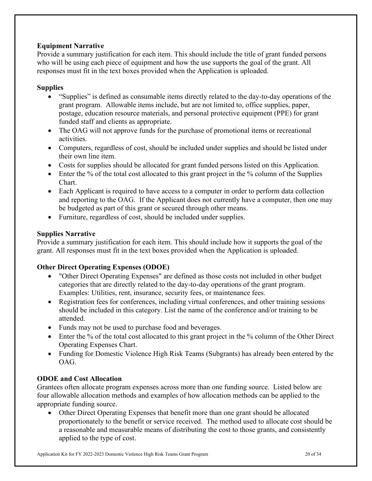## **Equipment Narrative**

Provide a summary justification for each item. This should include the title of grant funded persons who will be using each piece of equipment and how the use supports the goal of the grant. All responses must fit in the text boxes provided when the Application is uploaded.

## **Supplies**

- "Supplies" is defined as consumable items directly related to the day-to-day operations of the grant program. Allowable items include, but are not limited to, office supplies, paper, postage, education resource materials, and personal protective equipment (PPE) for grant funded staff and clients as appropriate.
- The OAG will not approve funds for the purchase of promotional items or recreational activities.
- Computers, regardless of cost, should be included under supplies and should be listed under their own line item.
- Costs for supplies should be allocated for grant funded persons listed on this Application.
- Enter the % of the total cost allocated to this grant project in the % column of the Supplies Chart.
- Each Applicant is required to have access to a computer in order to perform data collection and reporting to the OAG. If the Applicant does not currently have a computer, then one may be budgeted as part of this grant or secured through other means.
- Furniture, regardless of cost, should be included under supplies.

## **Supplies Narrative**

Provide a summary justification for each item. This should include how it supports the goal of the grant. All responses must fit in the text boxes provided when the Application is uploaded.

## **Other Direct Operating Expenses (ODOE)**

- "Other Direct Operating Expenses" are defined as those costs not included in other budget categories that are directly related to the day-to-day operations of the grant program. Examples: Utilities, rent, insurance, security fees, or maintenance fees.
- Registration fees for conferences, including virtual conferences, and other training sessions should be included in this category. List the name of the conference and/or training to be attended.
- Funds may not be used to purchase food and beverages.
- Enter the % of the total cost allocated to this grant project in the % column of the Other Direct Operating Expenses Chart.
- Funding for Domestic Violence High Risk Teams (Subgrants) has already been entered by the OAG.

## **ODOE and Cost Allocation**

Grantees often allocate program expenses across more than one funding source. Listed below are four allowable allocation methods and examples of how allocation methods can be applied to the appropriate funding source.

• Other Direct Operating Expenses that benefit more than one grant should be allocated proportionately to the benefit or service received. The method used to allocate cost should be a reasonable and measurable means of distributing the cost to those grants, and consistently applied to the type of cost.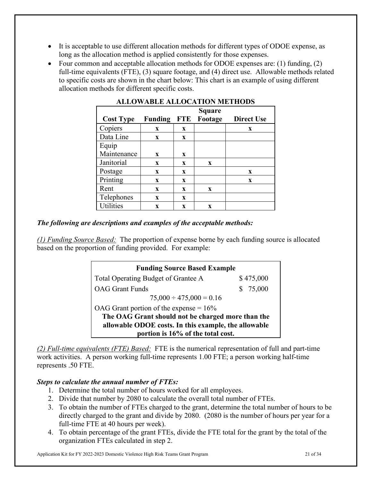- It is acceptable to use different allocation methods for different types of ODOE expense, as long as the allocation method is applied consistently for those expenses.
- Four common and acceptable allocation methods for ODOE expenses are: (1) funding, (2) full-time equivalents (FTE), (3) square footage, and (4) direct use. Allowable methods related to specific costs are shown in the chart below: This chart is an example of using different allocation methods for different specific costs.

|                  |                |              | <b>Square</b> |                   |
|------------------|----------------|--------------|---------------|-------------------|
| <b>Cost Type</b> | <b>Funding</b> | <b>FTE</b>   | Footage       | <b>Direct Use</b> |
| Copiers          | $\mathbf{x}$   | $\mathbf{x}$ |               | X                 |
| Data Line        | $\mathbf{x}$   | X            |               |                   |
| Equip            |                |              |               |                   |
| Maintenance      | $\mathbf{x}$   | X            |               |                   |
| Janitorial       | $\mathbf{X}$   | $\mathbf{x}$ | $\mathbf{x}$  |                   |
| Postage          | $\mathbf{x}$   | X            |               | X                 |
| Printing         | $\mathbf{x}$   | $\mathbf{x}$ |               | $\mathbf x$       |
| Rent             | $\mathbf X$    | X            | X             |                   |
| Telephones       | $\mathbf{x}$   | X            |               |                   |
| <b>Utilities</b> | X              | X            | X             |                   |

## **ALLOWABLE ALLOCATION METHODS**

## *The following are descriptions and examples of the acceptable methods:*

*(1) Funding Source Based:* The proportion of expense borne by each funding source is allocated based on the proportion of funding provided. For example:

| <b>Funding Source Based Example</b>                  |           |
|------------------------------------------------------|-----------|
| Total Operating Budget of Grantee A                  | \$475,000 |
| <b>OAG</b> Grant Funds                               | \$75,000  |
| $75,000 \div 475,000 = 0.16$                         |           |
| OAG Grant portion of the expense = $16\%$            |           |
| The OAG Grant should not be charged more than the    |           |
| allowable ODOE costs. In this example, the allowable |           |
| portion is 16% of the total cost.                    |           |

*(2) Full-time equivalents (FTE) Based:* FTE is the numerical representation of full and part-time work activities. A person working full-time represents 1.00 FTE; a person working half-time represents .50 FTE.

## *Steps to calculate the annual number of FTEs:*

- 1. Determine the total number of hours worked for all employees.
- 2. Divide that number by 2080 to calculate the overall total number of FTEs.
- 3. To obtain the number of FTEs charged to the grant, determine the total number of hours to be directly charged to the grant and divide by 2080. (2080 is the number of hours per year for a full-time FTE at 40 hours per week).
- 4. To obtain percentage of the grant FTEs, divide the FTE total for the grant by the total of the organization FTEs calculated in step 2.

Application Kit for FY 2022-2023 Domestic Violence High Risk Teams Grant Program 21 of 34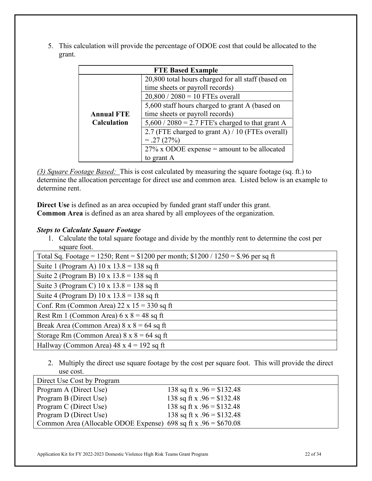5. This calculation will provide the percentage of ODOE cost that could be allocated to the grant.

| <b>FTE Based Example</b> |                                                    |  |
|--------------------------|----------------------------------------------------|--|
|                          | 20,800 total hours charged for all staff (based on |  |
|                          | time sheets or payroll records)                    |  |
|                          | $20,800 / 2080 = 10$ FTEs overall                  |  |
|                          | 5,600 staff hours charged to grant A (based on     |  |
| <b>Annual FTE</b>        | time sheets or payroll records)                    |  |
| <b>Calculation</b>       | $5,600 / 2080 = 2.7$ FTE's charged to that grant A |  |
|                          | 2.7 (FTE charged to grant A) / 10 (FTEs overall)   |  |
|                          | $= .27(27%)$                                       |  |
|                          | $27\%$ x ODOE expense = amount to be allocated     |  |
|                          | to grant A                                         |  |

*(3) Square Footage Based:* This is cost calculated by measuring the square footage (sq. ft.) to determine the allocation percentage for direct use and common area. Listed below is an example to determine rent.

**Direct Use** is defined as an area occupied by funded grant staff under this grant. **Common Area** is defined as an area shared by all employees of the organization.

## *Steps to Calculate Square Footage*

1. Calculate the total square footage and divide by the monthly rent to determine the cost per square foot.

| Total Sq. Footage = 1250; Rent = $$1200$ per month; $$1200 / 1250 = $.96$ per sq ft |
|-------------------------------------------------------------------------------------|
| Suite 1 (Program A) $10 \times 13.8 = 138$ sq ft                                    |
| Suite 2 (Program B) $10 \times 13.8 = 138$ sq ft                                    |
| Suite 3 (Program C) $10 \times 13.8 = 138$ sq ft                                    |
| Suite 4 (Program D) $10 \times 13.8 = 138$ sq ft                                    |
| Conf. Rm (Common Area) $22 \times 15 = 330$ sq ft                                   |
| Rest Rm 1 (Common Area) $6 \times 8 = 48$ sq ft                                     |
| Break Area (Common Area) $8 \times 8 = 64$ sq ft                                    |
| Storage Rm (Common Area) $8 \times 8 = 64$ sq ft                                    |
| Hallway (Common Area) $48 \times 4 = 192$ sq ft                                     |

2. Multiply the direct use square footage by the cost per square foot. This will provide the direct use cost.

| Direct Use Cost by Program                                       |                             |
|------------------------------------------------------------------|-----------------------------|
| Program A (Direct Use)                                           | 138 sq ft x $.96 = $132.48$ |
| Program B (Direct Use)                                           | 138 sq ft x $.96 = $132.48$ |
| Program C (Direct Use)                                           | 138 sq ft x $.96 = $132.48$ |
| Program D (Direct Use)                                           | 138 sq ft x $.96 = $132.48$ |
| Common Area (Allocable ODOE Expense) 698 sq ft x $.96 = $670.08$ |                             |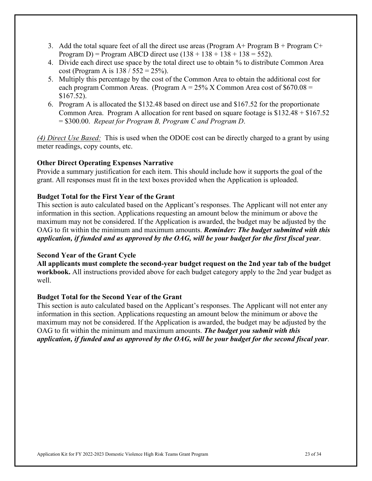- 3. Add the total square feet of all the direct use areas (Program  $A+$  Program  $B+$  Program  $C+$ Program D) = Program ABCD direct use  $(138 + 138 + 138 + 138 = 552)$ .
- 4. Divide each direct use space by the total direct use to obtain % to distribute Common Area cost (Program A is  $138 / 552 = 25\%$ ).
- 5. Multiply this percentage by the cost of the Common Area to obtain the additional cost for each program Common Areas. (Program  $A = 25\%$  X Common Area cost of \$670.08 = \$167.52).
- 6. Program A is allocated the \$132.48 based on direct use and \$167.52 for the proportionate Common Area. Program A allocation for rent based on square footage is \$132.48 + \$167.52 = \$300.00. *Repeat for Program B, Program C and Program D*.

*(4) Direct Use Based:* This is used when the ODOE cost can be directly charged to a grant by using meter readings, copy counts, etc.

## **Other Direct Operating Expenses Narrative**

Provide a summary justification for each item. This should include how it supports the goal of the grant. All responses must fit in the text boxes provided when the Application is uploaded.

## **Budget Total for the First Year of the Grant**

This section is auto calculated based on the Applicant's responses. The Applicant will not enter any information in this section. Applications requesting an amount below the minimum or above the maximum may not be considered. If the Application is awarded, the budget may be adjusted by the OAG to fit within the minimum and maximum amounts. *Reminder: The budget submitted with this application, if funded and as approved by the OAG, will be your budget for the first fiscal year*.

## **Second Year of the Grant Cycle**

**All applicants must complete the second-year budget request on the 2nd year tab of the budget workbook.** All instructions provided above for each budget category apply to the 2nd year budget as well.

## **Budget Total for the Second Year of the Grant**

This section is auto calculated based on the Applicant's responses. The Applicant will not enter any information in this section. Applications requesting an amount below the minimum or above the maximum may not be considered. If the Application is awarded, the budget may be adjusted by the OAG to fit within the minimum and maximum amounts. *The budget you submit with this application, if funded and as approved by the OAG, will be your budget for the second fiscal year*.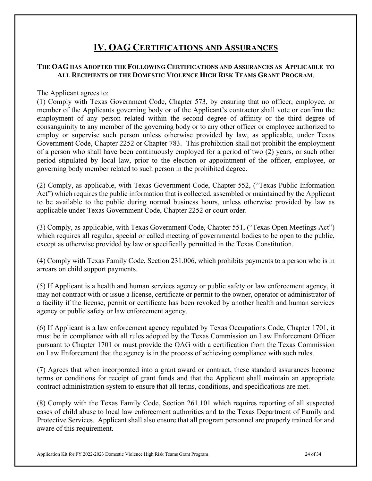## **IV. OAG CERTIFICATIONS AND ASSURANCES**

## **THE OAG HAS ADOPTED THE FOLLOWING CERTIFICATIONS AND ASSURANCES AS APPLICABLE TO ALL RECIPIENTS OF THE DOMESTIC VIOLENCE HIGH RISK TEAMS GRANT PROGRAM**.

The Applicant agrees to:

(1) Comply with Texas Government Code, Chapter 573, by ensuring that no officer, employee, or member of the Applicants governing body or of the Applicant's contractor shall vote or confirm the employment of any person related within the second degree of affinity or the third degree of consanguinity to any member of the governing body or to any other officer or employee authorized to employ or supervise such person unless otherwise provided by law, as applicable, under Texas Government Code, Chapter 2252 or Chapter 783. This prohibition shall not prohibit the employment of a person who shall have been continuously employed for a period of two (2) years, or such other period stipulated by local law, prior to the election or appointment of the officer, employee, or governing body member related to such person in the prohibited degree.

(2) Comply, as applicable, with Texas Government Code, Chapter 552, ("Texas Public Information Act") which requires the public information that is collected, assembled or maintained by the Applicant to be available to the public during normal business hours, unless otherwise provided by law as applicable under Texas Government Code, Chapter 2252 or court order.

(3) Comply, as applicable, with Texas Government Code, Chapter 551, ("Texas Open Meetings Act") which requires all regular, special or called meeting of governmental bodies to be open to the public, except as otherwise provided by law or specifically permitted in the Texas Constitution.

(4) Comply with Texas Family Code, Section 231.006, which prohibits payments to a person who is in arrears on child support payments.

(5) If Applicant is a health and human services agency or public safety or law enforcement agency, it may not contract with or issue a license, certificate or permit to the owner, operator or administrator of a facility if the license, permit or certificate has been revoked by another health and human services agency or public safety or law enforcement agency.

(6) If Applicant is a law enforcement agency regulated by Texas Occupations Code, Chapter 1701, it must be in compliance with all rules adopted by the Texas Commission on Law Enforcement Officer pursuant to Chapter 1701 or must provide the OAG with a certification from the Texas Commission on Law Enforcement that the agency is in the process of achieving compliance with such rules.

(7) Agrees that when incorporated into a grant award or contract, these standard assurances become terms or conditions for receipt of grant funds and that the Applicant shall maintain an appropriate contract administration system to ensure that all terms, conditions, and specifications are met.

(8) Comply with the Texas Family Code, Section 261.101 which requires reporting of all suspected cases of child abuse to local law enforcement authorities and to the Texas Department of Family and Protective Services. Applicant shall also ensure that all program personnel are properly trained for and aware of this requirement.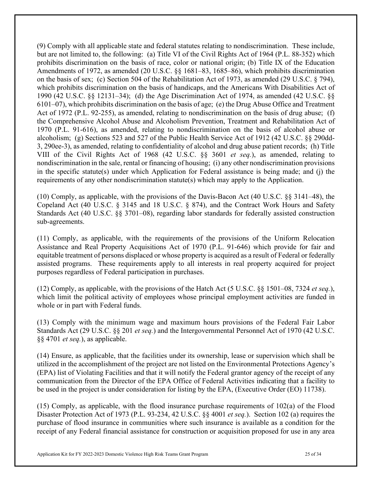(9) Comply with all applicable state and federal statutes relating to nondiscrimination. These include, but are not limited to, the following: (a) Title VI of the Civil Rights Act of 1964 (P.L. 88-352) which prohibits discrimination on the basis of race, color or national origin; (b) Title IX of the Education Amendments of 1972, as amended (20 U.S.C. §§ 1681–83, 1685–86), which prohibits discrimination on the basis of sex; (c) Section 504 of the Rehabilitation Act of 1973, as amended (29 U.S.C. § 794), which prohibits discrimination on the basis of handicaps, and the Americans With Disabilities Act of 1990 (42 U.S.C. §§ 12131–34); (d) the Age Discrimination Act of 1974, as amended (42 U.S.C. §§ 6101–07), which prohibits discrimination on the basis of age; (e) the Drug Abuse Office and Treatment Act of 1972 (P.L. 92-255), as amended, relating to nondiscrimination on the basis of drug abuse; (f) the Comprehensive Alcohol Abuse and Alcoholism Prevention, Treatment and Rehabilitation Act of 1970 (P.L. 91-616), as amended, relating to nondiscrimination on the basis of alcohol abuse or alcoholism; (g) Sections 523 and 527 of the Public Health Service Act of 1912 (42 U.S.C. §§ 290dd-3, 290ee-3), as amended, relating to confidentiality of alcohol and drug abuse patient records; (h) Title VIII of the Civil Rights Act of 1968 (42 U.S.C. §§ 3601 *et seq.*), as amended, relating to nondiscrimination in the sale, rental or financing of housing; (i) any other nondiscrimination provisions in the specific statute(s) under which Application for Federal assistance is being made; and (j) the requirements of any other nondiscrimination statute(s) which may apply to the Application.

(10) Comply, as applicable, with the provisions of the Davis-Bacon Act (40 U.S.C. §§ 3141–48), the Copeland Act (40 U.S.C. § 3145 and 18 U.S.C. § 874), and the Contract Work Hours and Safety Standards Act (40 U.S.C. §§ 3701–08), regarding labor standards for federally assisted construction sub-agreements.

(11) Comply, as applicable, with the requirements of the provisions of the Uniform Relocation Assistance and Real Property Acquisitions Act of 1970 (P.L. 91-646) which provide for fair and equitable treatment of persons displaced or whose property is acquired as a result of Federal or federally assisted programs. These requirements apply to all interests in real property acquired for project purposes regardless of Federal participation in purchases.

(12) Comply, as applicable, with the provisions of the Hatch Act (5 U.S.C. §§ 1501–08, 7324 *et seq.*), which limit the political activity of employees whose principal employment activities are funded in whole or in part with Federal funds.

(13) Comply with the minimum wage and maximum hours provisions of the Federal Fair Labor Standards Act (29 U.S.C. §§ 201 *et seq.*) and the Intergovernmental Personnel Act of 1970 (42 U.S.C. §§ 4701 *et seq.*), as applicable.

(14) Ensure, as applicable, that the facilities under its ownership, lease or supervision which shall be utilized in the accomplishment of the project are not listed on the Environmental Protections Agency's (EPA) list of Violating Facilities and that it will notify the Federal grantor agency of the receipt of any communication from the Director of the EPA Office of Federal Activities indicating that a facility to be used in the project is under consideration for listing by the EPA, (Executive Order (EO) 11738).

(15) Comply, as applicable, with the flood insurance purchase requirements of 102(a) of the Flood Disaster Protection Act of 1973 (P.L. 93-234, 42 U.S.C. §§ 4001 *et seq.*). Section 102 (a) requires the purchase of flood insurance in communities where such insurance is available as a condition for the receipt of any Federal financial assistance for construction or acquisition proposed for use in any area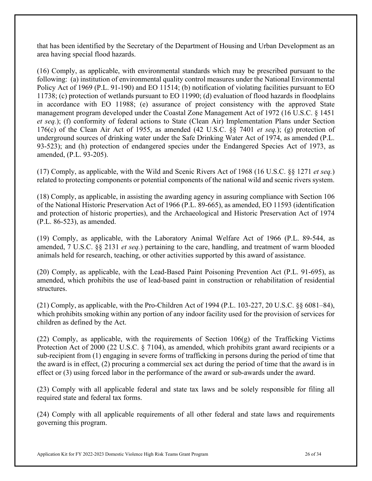that has been identified by the Secretary of the Department of Housing and Urban Development as an area having special flood hazards.

(16) Comply, as applicable, with environmental standards which may be prescribed pursuant to the following: (a) institution of environmental quality control measures under the National Environmental Policy Act of 1969 (P.L. 91-190) and EO 11514; (b) notification of violating facilities pursuant to EO 11738; (c) protection of wetlands pursuant to EO 11990; (d) evaluation of flood hazards in floodplains in accordance with EO 11988; (e) assurance of project consistency with the approved State management program developed under the Coastal Zone Management Act of 1972 (16 U.S.C. § 1451 *et seq.*); (f) conformity of federal actions to State (Clean Air) Implementation Plans under Section 176(c) of the Clean Air Act of 1955, as amended (42 U.S.C. §§ 7401 *et seq.*); (g) protection of underground sources of drinking water under the Safe Drinking Water Act of 1974, as amended (P.L. 93-523); and (h) protection of endangered species under the Endangered Species Act of 1973, as amended, (P.L. 93-205).

(17) Comply, as applicable, with the Wild and Scenic Rivers Act of 1968 (16 U.S.C. §§ 1271 *et seq.*) related to protecting components or potential components of the national wild and scenic rivers system.

(18) Comply, as applicable, in assisting the awarding agency in assuring compliance with Section 106 of the National Historic Preservation Act of 1966 (P.L. 89-665), as amended, EO 11593 (identification and protection of historic properties), and the Archaeological and Historic Preservation Act of 1974 (P.L. 86-523), as amended.

(19) Comply, as applicable, with the Laboratory Animal Welfare Act of 1966 (P.L. 89-544, as amended, 7 U.S.C. §§ 2131 *et seq.*) pertaining to the care, handling, and treatment of warm blooded animals held for research, teaching, or other activities supported by this award of assistance.

(20) Comply, as applicable, with the Lead-Based Paint Poisoning Prevention Act (P.L. 91-695), as amended, which prohibits the use of lead-based paint in construction or rehabilitation of residential structures.

(21) Comply, as applicable, with the Pro-Children Act of 1994 (P.L. 103-227, 20 U.S.C. §§ 6081–84), which prohibits smoking within any portion of any indoor facility used for the provision of services for children as defined by the Act.

(22) Comply, as applicable, with the requirements of Section  $106(g)$  of the Trafficking Victims Protection Act of 2000 (22 U.S.C. § 7104), as amended, which prohibits grant award recipients or a sub-recipient from (1) engaging in severe forms of trafficking in persons during the period of time that the award is in effect, (2) procuring a commercial sex act during the period of time that the award is in effect or (3) using forced labor in the performance of the award or sub-awards under the award.

(23) Comply with all applicable federal and state tax laws and be solely responsible for filing all required state and federal tax forms.

(24) Comply with all applicable requirements of all other federal and state laws and requirements governing this program.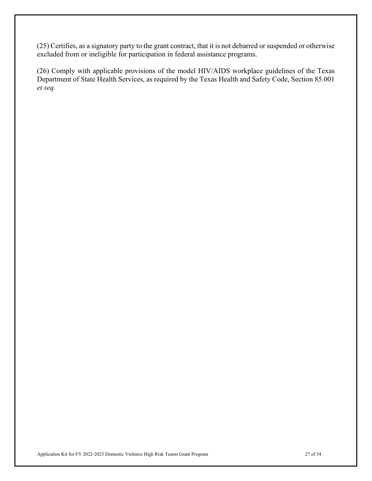(25) Certifies, as a signatory party to the grant contract, that it is not debarred or suspended or otherwise excluded from or ineligible for participation in federal assistance programs.

(26) Comply with applicable provisions of the model HIV/AIDS workplace guidelines of the Texas Department of State Health Services, as required by the Texas Health and Safety Code, Section 85.001 *et seq.*

Application Kit for FY 2022-2023 Domestic Violence High Risk Teams Grant Program 27 of 34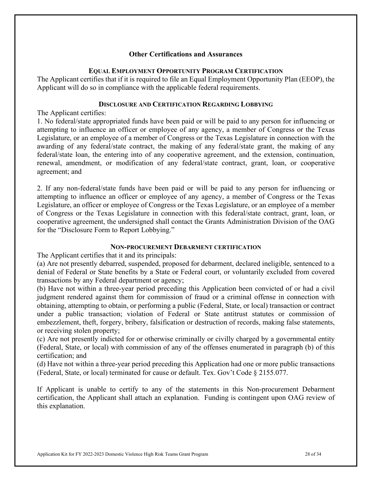## **Other Certifications and Assurances**

#### **EQUAL EMPLOYMENT OPPORTUNITY PROGRAM CERTIFICATION**

The Applicant certifies that if it is required to file an Equal Employment Opportunity Plan (EEOP), the Applicant will do so in compliance with the applicable federal requirements.

#### **DISCLOSURE AND CERTIFICATION REGARDING LOBBYING**

The Applicant certifies:

1. No federal/state appropriated funds have been paid or will be paid to any person for influencing or attempting to influence an officer or employee of any agency, a member of Congress or the Texas Legislature, or an employee of a member of Congress or the Texas Legislature in connection with the awarding of any federal/state contract, the making of any federal/state grant, the making of any federal/state loan, the entering into of any cooperative agreement, and the extension, continuation, renewal, amendment, or modification of any federal/state contract, grant, loan, or cooperative agreement; and

2. If any non-federal/state funds have been paid or will be paid to any person for influencing or attempting to influence an officer or employee of any agency, a member of Congress or the Texas Legislature, an officer or employee of Congress or the Texas Legislature, or an employee of a member of Congress or the Texas Legislature in connection with this federal/state contract, grant, loan, or cooperative agreement, the undersigned shall contact the Grants Administration Division of the OAG for the "Disclosure Form to Report Lobbying."

## **NON-PROCUREMENT DEBARMENT CERTIFICATION**

The Applicant certifies that it and its principals:

(a) Are not presently debarred, suspended, proposed for debarment, declared ineligible, sentenced to a denial of Federal or State benefits by a State or Federal court, or voluntarily excluded from covered transactions by any Federal department or agency;

(b) Have not within a three-year period preceding this Application been convicted of or had a civil judgment rendered against them for commission of fraud or a criminal offense in connection with obtaining, attempting to obtain, or performing a public (Federal, State, or local) transaction or contract under a public transaction; violation of Federal or State antitrust statutes or commission of embezzlement, theft, forgery, bribery, falsification or destruction of records, making false statements, or receiving stolen property;

(c) Are not presently indicted for or otherwise criminally or civilly charged by a governmental entity (Federal, State, or local) with commission of any of the offenses enumerated in paragraph (b) of this certification; and

(d) Have not within a three-year period preceding this Application had one or more public transactions (Federal, State, or local) terminated for cause or default. Tex. Gov't Code § 2155.077.

If Applicant is unable to certify to any of the statements in this Non-procurement Debarment certification, the Applicant shall attach an explanation. Funding is contingent upon OAG review of this explanation.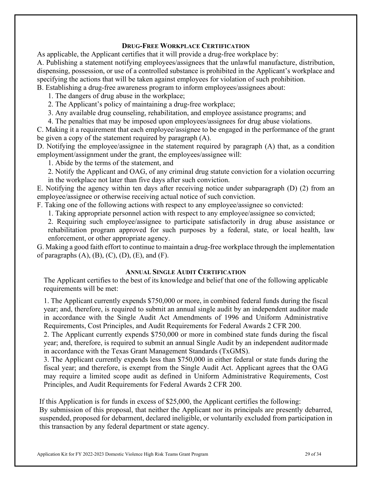#### **DRUG-FREE WORKPLACE CERTIFICATION**

As applicable, the Applicant certifies that it will provide a drug-free workplace by: A. Publishing a statement notifying employees/assignees that the unlawful manufacture, distribution, dispensing, possession, or use of a controlled substance is prohibited in the Applicant's workplace and specifying the actions that will be taken against employees for violation of such prohibition. B. Establishing a drug-free awareness program to inform employees/assignees about:

1. The dangers of drug abuse in the workplace;

- 2. The Applicant's policy of maintaining a drug-free workplace;
- 3. Any available drug counseling, rehabilitation, and employee assistance programs; and

4. The penalties that may be imposed upon employees/assignees for drug abuse violations.

C. Making it a requirement that each employee/assignee to be engaged in the performance of the grant be given a copy of the statement required by paragraph (A).

D. Notifying the employee/assignee in the statement required by paragraph (A) that, as a condition employment/assignment under the grant, the employees/assignee will:

1. Abide by the terms of the statement, and

2. Notify the Applicant and OAG, of any criminal drug statute conviction for a violation occurring in the workplace not later than five days after such conviction.

E. Notifying the agency within ten days after receiving notice under subparagraph (D) (2) from an employee/assignee or otherwise receiving actual notice of such conviction.

F. Taking one of the following actions with respect to any employee/assignee so convicted:

1. Taking appropriate personnel action with respect to any employee/assignee so convicted;

2. Requiring such employee/assignee to participate satisfactorily in drug abuse assistance or rehabilitation program approved for such purposes by a federal, state, or local health, law enforcement, or other appropriate agency.

G. Making a good faith effort to continue to maintain a drug-free workplace through the implementation of paragraphs  $(A)$ ,  $(B)$ ,  $(C)$ ,  $(D)$ ,  $(E)$ , and  $(F)$ .

## **ANNUAL SINGLE AUDIT CERTIFICATION**

The Applicant certifies to the best of its knowledge and belief that one of the following applicable requirements will be met:

1. The Applicant currently expends \$750,000 or more, in combined federal funds during the fiscal year; and, therefore, is required to submit an annual single audit by an independent auditor made in accordance with the Single Audit Act Amendments of 1996 and Uniform Administrative Requirements, Cost Principles, and Audit Requirements for Federal Awards 2 CFR 200.

2. The Applicant currently expends \$750,000 or more in combined state funds during the fiscal year; and, therefore, is required to submit an annual Single Audit by an independent auditormade in accordance with the Texas Grant Management Standards (TxGMS).

3. The Applicant currently expends less than \$750,000 in either federal or state funds during the fiscal year; and therefore, is exempt from the Single Audit Act. Applicant agrees that the OAG may require a limited scope audit as defined in Uniform Administrative Requirements, Cost Principles, and Audit Requirements for Federal Awards 2 CFR 200.

If this Application is for funds in excess of \$25,000, the Applicant certifies the following:

By submission of this proposal, that neither the Applicant nor its principals are presently debarred, suspended, proposed for debarment, declared ineligible, or voluntarily excluded from participation in this transaction by any federal department or state agency.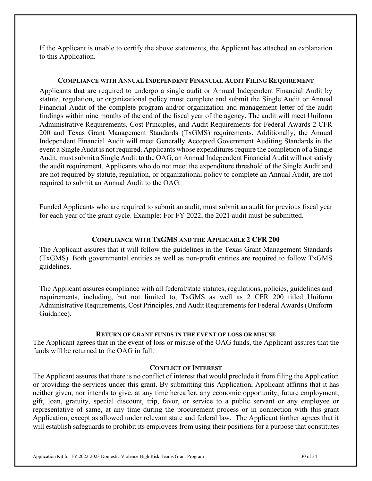If the Applicant is unable to certify the above statements, the Applicant has attached an explanation to this Application.

#### **COMPLIANCE WITH ANNUAL INDEPENDENT FINANCIAL AUDIT FILING REQUIREMENT**

Applicants that are required to undergo a single audit or Annual Independent Financial Audit by statute, regulation, or organizational policy must complete and submit the Single Audit or Annual Financial Audit of the complete program and/or organization and management letter of the audit findings within nine months of the end of the fiscal year of the agency. The audit will meet Uniform Administrative Requirements, Cost Principles, and Audit Requirements for Federal Awards 2 CFR 200 and Texas Grant Management Standards (TxGMS) requirements. Additionally, the Annual Independent Financial Audit will meet Generally Accepted Government Auditing Standards in the event a Single Audit is not required. Applicants whose expenditures require the completion of a Single Audit, must submit a Single Audit to the OAG, an Annual Independent Financial Audit will not satisfy the audit requirement. Applicants who do not meet the expenditure threshold of the Single Audit and are not required by statute, regulation, or organizational policy to complete an Annual Audit, are not required to submit an Annual Audit to the OAG.

Funded Applicants who are required to submit an audit, must submit an audit for previous fiscal year for each year of the grant cycle. Example: For FY 2022, the 2021 audit must be submitted.

#### **COMPLIANCE WITH TxGMS AND THE APPLICABLE 2 CFR 200**

The Applicant assures that it will follow the guidelines in the Texas Grant Management Standards (TxGMS). Both governmental entities as well as non-profit entities are required to follow TxGMS guidelines.

The Applicant assures compliance with all federal/state statutes, regulations, policies, guidelines and requirements, including, but not limited to, TxGMS as well as 2 CFR 200 titled Uniform Administrative Requirements, Cost Principles, and Audit Requirements for Federal Awards (Uniform Guidance).

#### **RETURN OF GRANT FUNDS IN THE EVENT OF LOSS OR MISUSE**

The Applicant agrees that in the event of loss or misuse of the OAG funds, the Applicant assures that the funds will be returned to the OAG in full.

#### **CONFLICT OF INTEREST**

The Applicant assures that there is no conflict of interest that would preclude it from filing the Application or providing the services under this grant. By submitting this Application, Applicant affirms that it has neither given, nor intends to give, at any time hereafter, any economic opportunity, future employment, gift, loan, gratuity, special discount, trip, favor, or service to a public servant or any employee or representative of same, at any time during the procurement process or in connection with this grant Application, except as allowed under relevant state and federal law. The Applicant further agrees that it will establish safeguards to prohibit its employees from using their positions for a purpose that constitutes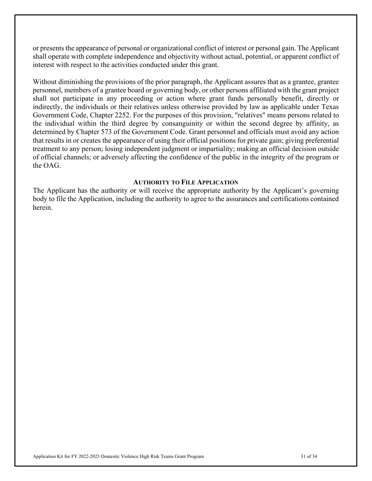or presents the appearance of personal or organizational conflict of interest or personal gain. The Applicant shall operate with complete independence and objectivity without actual, potential, or apparent conflict of interest with respect to the activities conducted under this grant.

Without diminishing the provisions of the prior paragraph, the Applicant assures that as a grantee, grantee personnel, members of a grantee board or governing body, or other persons affiliated with the grant project shall not participate in any proceeding or action where grant funds personally benefit, directly or indirectly, the individuals or their relatives unless otherwise provided by law as applicable under Texas Government Code, Chapter 2252. For the purposes of this provision, "relatives" means persons related to the individual within the third degree by consanguinity or within the second degree by affinity, as determined by Chapter 573 of the Government Code. Grant personnel and officials must avoid any action that results in or creates the appearance of using their official positions for private gain; giving preferential treatment to any person; losing independent judgment or impartiality; making an official decision outside of official channels; or adversely affecting the confidence of the public in the integrity of the program or the OAG.

#### **AUTHORITY TO FILE APPLICATION**

The Applicant has the authority or will receive the appropriate authority by the Applicant's governing body to file the Application, including the authority to agree to the assurances and certifications contained herein.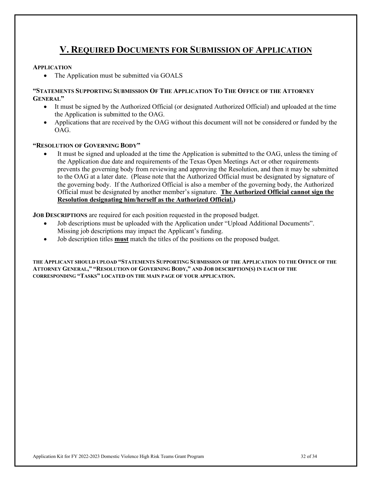## **V. REQUIRED DOCUMENTS FOR SUBMISSION OF APPLICATION**

#### **APPLICATION**

• The Application must be submitted via GOALS

#### **"STATEMENTS SUPPORTING SUBMISSION OF THE APPLICATION TO THE OFFICE OF THE ATTORNEY GENERAL"**

- It must be signed by the Authorized Official (or designated Authorized Official) and uploaded at the time the Application is submitted to the OAG.
- Applications that are received by the OAG without this document will not be considered or funded by the OAG.

#### **"RESOLUTION OF GOVERNING BODY"**

It must be signed and uploaded at the time the Application is submitted to the OAG, unless the timing of the Application due date and requirements of the Texas Open Meetings Act or other requirements prevents the governing body from reviewing and approving the Resolution, and then it may be submitted to the OAG at a later date. (Please note that the Authorized Official must be designated by signature of the governing body. If the Authorized Official is also a member of the governing body, the Authorized Official must be designated by another member's signature. **The Authorized Official cannot sign the Resolution designating him/herself as the Authorized Official.)**

**JOB DESCRIPTIONS** are required for each position requested in the proposed budget.

- Job descriptions must be uploaded with the Application under "Upload Additional Documents". Missing job descriptions may impact the Applicant's funding.
- Job description titles **must** match the titles of the positions on the proposed budget.

**THE APPLICANT SHOULD UPLOAD "STATEMENTS SUPPORTING SUBMISSION OF THE APPLICATION TO THE OFFICE OF THE ATTORNEY GENERAL," "RESOLUTION OF GOVERNING BODY," AND JOB DESCRIPTION(S) IN EACH OF THE CORRESPONDING "TASKS" LOCATED ON THE MAIN PAGE OF YOUR APPLICATION.**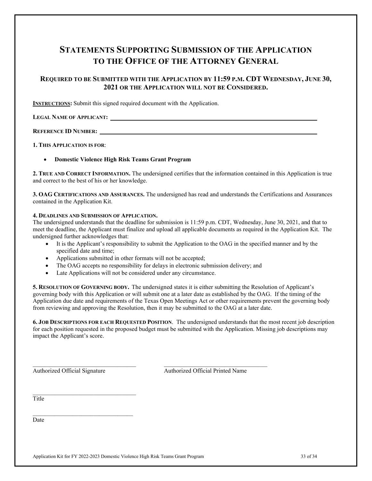## **STATEMENTS SUPPORTING SUBMISSION OF THE APPLICATION TO THE OFFICE OF THE ATTORNEY GENERAL**

## **REQUIRED TO BE SUBMITTED WITH THE APPLICATION BY 11:59 P.M. CDT WEDNESDAY, JUNE 30, 2021 OR THE APPLICATION WILL NOT BE CONSIDERED.**

**INSTRUCTIONS:** Submit this signed required document with the Application.

**LEGAL NAME OF APPLICANT:** 

**REFERENCE ID NUMBER:** 

**1. THIS APPLICATION IS FOR**:

• **Domestic Violence High Risk Teams Grant Program**

**2. TRUE AND CORRECT INFORMATION.** The undersigned certifies that the information contained in this Application is true and correct to the best of his or her knowledge.

**3. OAG CERTIFICATIONS AND ASSURANCES.** The undersigned has read and understands the Certifications and Assurances contained in the Application Kit.

#### **4. DEADLINES AND SUBMISSION OF APPLICATION.**

The undersigned understands that the deadline for submission is 11:59 p.m. CDT, Wednesday, June 30, 2021, and that to meet the deadline, the Applicant must finalize and upload all applicable documents as required in the Application Kit. The undersigned further acknowledges that:

- It is the Applicant's responsibility to submit the Application to the OAG in the specified manner and by the specified date and time;
- Applications submitted in other formats will not be accepted;
- The OAG accepts no responsibility for delays in electronic submission delivery; and

\_\_\_\_\_\_\_\_\_\_\_\_\_\_\_\_\_\_\_\_\_\_\_\_\_\_\_\_\_\_\_\_\_\_ \_\_\_\_\_\_\_\_\_\_\_\_\_\_\_\_\_\_\_\_\_\_\_\_\_\_\_\_\_\_\_\_\_\_

• Late Applications will not be considered under any circumstance.

**5. RESOLUTION OF GOVERNING BODY.** The undersigned states it is either submitting the Resolution of Applicant's governing body with this Application or will submit one at a later date as established by the OAG. If the timing of the Application due date and requirements of the Texas Open Meetings Act or other requirements prevent the governing body from reviewing and approving the Resolution, then it may be submitted to the OAG at a later date.

**6. JOB DESCRIPTIONS FOR EACH REQUESTED POSITION**. The undersigned understands that the most recent job description for each position requested in the proposed budget must be submitted with the Application. Missing job descriptions may impact the Applicant's score.

 $\_$  . The set of the set of the set of the set of the set of the set of the set of the set of the set of the set of the set of the set of the set of the set of the set of the set of the set of the set of the set of the se

\_\_\_\_\_\_\_\_\_\_\_\_\_\_\_\_\_\_\_\_\_\_\_\_\_\_\_\_\_\_\_\_\_

Authorized Official Signature Authorized Official Printed Name

Title

Date